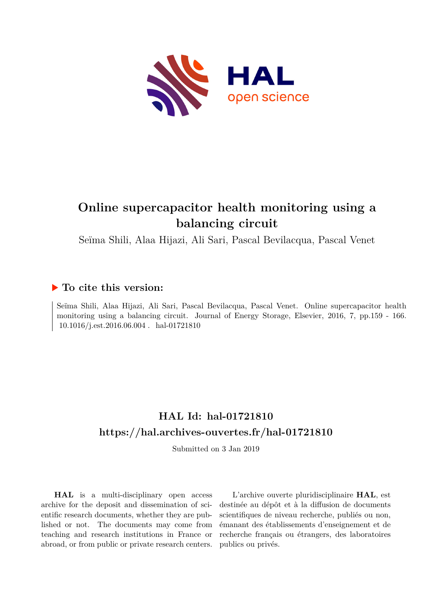

# **Online supercapacitor health monitoring using a balancing circuit**

Seïma Shili, Alaa Hijazi, Ali Sari, Pascal Bevilacqua, Pascal Venet

## **To cite this version:**

Seïma Shili, Alaa Hijazi, Ali Sari, Pascal Bevilacqua, Pascal Venet. Online supercapacitor health monitoring using a balancing circuit. Journal of Energy Storage, Elsevier, 2016, 7, pp.159 - 166.  $10.1016/j. {\rm est.} 2016.06.004$  .  ${\it hal}\textrm{-}01721810$ 

# **HAL Id: hal-01721810 <https://hal.archives-ouvertes.fr/hal-01721810>**

Submitted on 3 Jan 2019

**HAL** is a multi-disciplinary open access archive for the deposit and dissemination of scientific research documents, whether they are published or not. The documents may come from teaching and research institutions in France or abroad, or from public or private research centers.

L'archive ouverte pluridisciplinaire **HAL**, est destinée au dépôt et à la diffusion de documents scientifiques de niveau recherche, publiés ou non, émanant des établissements d'enseignement et de recherche français ou étrangers, des laboratoires publics ou privés.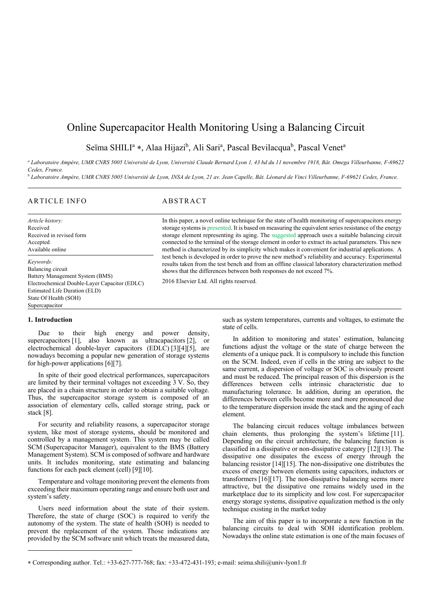## Online Supercapacitor Health Monitoring Using a Balancing Circuit

Seïma SHILI<sup>a</sup> \*, Alaa Hijazi<sup>b</sup>, Ali Sari<sup>a</sup>, Pascal Bevilacqua<sup>b</sup>, Pascal Venet<sup>a</sup>

*a Laboratoire Ampère, UMR CNRS 5005 Université de Lyon, Université Claude Bernard Lyon 1, 43 bd du 11 novembre 1918, Bât. Omega Villeurbanne, F-69622 Cedex, France.* 

<sup>b</sup> Laboratoire Ampère, UMR CNRS 5005 Université de Lyon, INSA de Lyon, 21 av. Jean Capelle, Bât. Léonard de Vinci Villeurbanne, F-69621 Cedex, France.

### ARTICLE INFO ABSTRACT

*Article history:*  Received Received in revised form Accepted Available online

*Keywords:*  Balancing circuit Battery Management System (BMS) Electrochemical Double-Layer Capacitor (EDLC) Estimated Life Duration (ELD) State Of Health (SOH) Supercapacitor

In this paper, a novel online technique for the state of health monitoring of supercapacitors energy storage systems is presented. It is based on measuring the equivalent series resistance of the energy storage element representing its aging. The suggested approach uses a suitable balancing circuit connected to the terminal of the storage element in order to extract its actual parameters. This new method is characterized by its simplicity which makes it convenient for industrial applications. A test bench is developed in order to prove the new method's reliability and accuracy. Experimental results taken from the test bench and from an offline classical laboratory characterization method shows that the differences between both responses do not exceed 7%.

2016 Elsevier Ltd. All rights reserved.

#### **1. Introduction**

Due to their high energy and power density, supercapacitors [1], also known as ultracapacitors [2], or electrochemical double-layer capacitors (EDLC) [3][4][5], are nowadays becoming a popular new generation of storage systems for high-power applications [6][7].

In spite of their good electrical performances, supercapacitors are limited by their terminal voltages not exceeding 3 V. So, they are placed in a chain structure in order to obtain a suitable voltage. Thus, the supercapacitor storage system is composed of an association of elementary cells, called storage string, pack or stack [8].

For security and reliability reasons, a supercapacitor storage system, like most of storage systems, should be monitored and controlled by a management system. This system may be called SCM (Supercapacitor Manager), equivalent to the BMS (Battery Management System). SCM is composed of software and hardware units. It includes monitoring, state estimating and balancing functions for each pack element (cell) [9][10].

Temperature and voltage monitoring prevent the elements from exceeding their maximum operating range and ensure both user and system's safety.

Users need information about the state of their system. Therefore, the state of charge (SOC) is required to verify the autonomy of the system. The state of health (SOH) is needed to prevent the replacement of the system. Those indications are provided by the SCM software unit which treats the measured data,

such as system temperatures, currents and voltages, to estimate the state of cells.

In addition to monitoring and states' estimation, balancing functions adjust the voltage or the state of charge between the elements of a unique pack. It is compulsory to include this function on the SCM. Indeed, even if cells in the string are subject to the same current, a dispersion of voltage or SOC is obviously present and must be reduced. The principal reason of this dispersion is the differences between cells intrinsic characteristic due to manufacturing tolerance. In addition, during an operation, the differences between cells become more and more pronounced due to the temperature dispersion inside the stack and the aging of each element.

The balancing circuit reduces voltage imbalances between chain elements, thus prolonging the system's lifetime [11]. Depending on the circuit architecture, the balancing function is classified in a dissipative or non-dissipative category [12][13]. The dissipative one dissipates the excess of energy through the balancing resistor [14][15]. The non-dissipative one distributes the excess of energy between elements using capacitors, inductors or transformers [16][17]. The non-dissipative balancing seems more attractive, but the dissipative one remains widely used in the marketplace due to its simplicity and low cost. For supercapacitor energy storage systems, dissipative equalization method is the only technique existing in the market today

The aim of this paper is to incorporate a new function in the balancing circuits to deal with SOH identification problem. Nowadays the online state estimation is one of the main focuses of

Corresponding author. Tel.: +33-627-777-768; fax: +33-472-431-193; e-mail: seima.shili@univ-lyon1.fr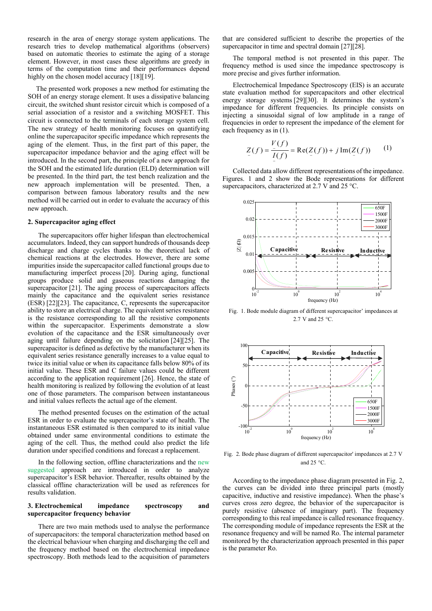research in the area of energy storage system applications. The research tries to develop mathematical algorithms (observers) based on automatic theories to estimate the aging of a storage element. However, in most cases these algorithms are greedy in terms of the computation time and their performances depend highly on the chosen model accuracy [18][19].

The presented work proposes a new method for estimating the SOH of an energy storage element. It uses a dissipative balancing circuit, the switched shunt resistor circuit which is composed of a serial association of a resistor and a switching MOSFET. This circuit is connected to the terminals of each storage system cell. The new strategy of health monitoring focuses on quantifying online the supercapacitor specific impedance which represents the aging of the element. Thus, in the first part of this paper, the supercapacitor impedance behavior and the aging effect will be introduced. In the second part, the principle of a new approach for the SOH and the estimated life duration (ELD) determination will be presented. In the third part, the test bench realization and the new approach implementation will be presented. Then, a comparison between famous laboratory results and the new method will be carried out in order to evaluate the accuracy of this new approach.

#### **2. Supercapacitor aging effect**

The supercapacitors offer higher lifespan than electrochemical accumulators. Indeed, they can support hundreds of thousands deep discharge and charge cycles thanks to the theoretical lack of chemical reactions at the electrodes. However, there are some impurities inside the supercapacitor called functional groups due to manufacturing imperfect process [20]. During aging, functional groups produce solid and gaseous reactions damaging the supercapacitor [21]. The aging process of supercapacitors affects mainly the capacitance and the equivalent series resistance (ESR) [22][23]. The capacitance, C, represents the supercapacitor ability to store an electrical charge. The equivalent series resistance is the resistance corresponding to all the resistive components within the supercapacitor. Experiments demonstrate a slow evolution of the capacitance and the ESR simultaneously over aging until failure depending on the solicitation [24][25]. The supercapacitor is defined as defective by the manufacturer when its equivalent series resistance generally increases to a value equal to twice its initial value or when its capacitance falls below 80% of its initial value. These ESR and C failure values could be different according to the application requirement [26]. Hence, the state of health monitoring is realized by following the evolution of at least one of those parameters. The comparison between instantaneous and initial values reflects the actual age of the element.

The method presented focuses on the estimation of the actual ESR in order to evaluate the supercapacitor's state of health. The instantaneous ESR estimated is then compared to its initial value obtained under same environmental conditions to estimate the aging of the cell. Thus, the method could also predict the life duration under specified conditions and forecast a replacement.

In the following section, offline characterizations and the new suggested approach are introduced in order to analyze supercapacitor's ESR behavior. Thereafter, results obtained by the classical offline characterization will be used as references for results validation.

#### **3. Electrochemical impedance spectroscopy and supercapacitor frequency behavior**

There are two main methods used to analyse the performance of supercapacitors: the temporal characterization method based on the electrical behaviour when charging and discharging the cell and the frequency method based on the electrochemical impedance spectroscopy. Both methods lead to the acquisition of parameters

that are considered sufficient to describe the properties of the supercapacitor in time and spectral domain [27][28].

The temporal method is not presented in this paper. The frequency method is used since the impedance spectroscopy is more precise and gives further information.

Electrochemical Impedance Spectroscopy (EIS) is an accurate state evaluation method for supercapacitors and other electrical energy storage systems [29][30]. It determines the system's impedance for different frequencies. Its principle consists on injecting a sinusoidal signal of low amplitude in a range of frequencies in order to represent the impedance of the element for each frequency as in (1).

$$
Z(f) = \frac{V(f)}{I(f)} = \text{Re}(Z(f)) + j \text{Im}(Z(f)) \qquad (1)
$$

Collected data allow different representations of the impedance. Figures. 1 and 2 show the Bode representations for different supercapacitors, characterized at 2.7 V and 25 °C.



Fig. 1. Bode module diagram of different supercapacitor' impedances at 2.7 V and 25 °C.



Fig. 2. Bode phase diagram of different supercapacitor' impedances at 2.7 V and 25 °C.

According to the impedance phase diagram presented in Fig. 2, the curves can be divided into three principal parts (mostly capacitive, inductive and resistive impedance). When the phase's curves cross zero degree, the behavior of the supercapacitor is purely resistive (absence of imaginary part). The frequency corresponding to this real impedance is called resonance frequency. The corresponding module of impedance represents the ESR at the resonance frequency and will be named Ro. The internal parameter monitored by the characterization approach presented in this paper is the parameter Ro.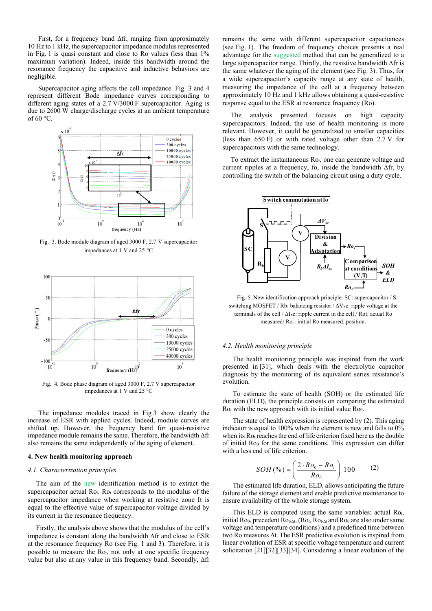First, for a frequency band ∆fr, ranging from approximately 10 Hz to 1 kHz, the supercapacitor impedance modulus represented in Fig. 1 is quasi constant and close to Ro values (less than 1% maximum variation). Indeed, inside this bandwidth around the resonance frequency the capacitive and inductive behaviors are negligible.

Supercapacitor aging affects the cell impedance. Fig. 3 and 4 represent different Bode impedance curves corresponding to different aging states of a 2.7 V/3000 F supercapacitor. Aging is due to 2600 W charge/discharge cycles at an ambient temperature of  $60^{\circ}$ C.



Fig. 3. Bode module diagram of aged 3000 F, 2.7 V supercapacitor impedances at 1 V and 25 °C



Fig. 4. Bode phase diagram of aged 3000 F, 2.7 V supercapacitor impedances at 1 V and 25 °C

The impedance modules traced in Fig 3 show clearly the increase of ESR with applied cycles. Indeed, module curves are shifted up. However, the frequency band for quasi-resistive impedance module remains the same. Therefore, the bandwidth ∆fr also remains the same independently of the aging of element.

#### **4. New health monitoring approach**

#### *4.1. Characterization principles*

The aim of the new identification method is to extract the supercapacitor actual Ro<sub>t</sub>. Ro<sub>t</sub> corresponds to the modulus of the supercapacitor impedance when working at resistive zone It is equal to the effective value of supercapacitor voltage divided by its current in the resonance frequency.

Firstly, the analysis above shows that the modulus of the cell's impedance is constant along the bandwidth ∆fr and close to ESR at the resonance frequency Ro (see Fig. 1 and 3). Therefore, it is possible to measure the Rot, not only at one specific frequency value but also at any value in this frequency band. Secondly, ∆fr

remains the same with different supercapacitor capacitances (see Fig. 1). The freedom of frequency choices presents a real advantage for the suggested method that can be generalized to a large supercapacitor range. Thirdly, the resistive bandwidth ∆fr is the same whatever the aging of the element (see Fig. 3). Thus, for a wide supercapacitor's capacity range at any state of health, measuring the impedance of the cell at a frequency between approximately 10 Hz and 1 kHz allows obtaining a quasi-resistive response equal to the ESR at resonance frequency (Ro).

The analysis presented focuses on high capacity supercapacitors. Indeed, the use of health monitoring is more relevant. However, it could be generalized to smaller capacities (less than 650 F) or with rated voltage other than  $2.7 \text{ V}$  for supercapacitors with the same technology.

To extract the instantaneous Ro<sub>t</sub>, one can generate voltage and current ripples at a frequency, fo, inside the bandwidth ∆fr, by controlling the switch of the balancing circuit using a duty cycle.



Fig. 5. New identification approach principle. SC: supercapacitor / S: switching MOSFET / Rb: balancing resistor / ∆Vsc: ripple voltage at the terminals of the cell / ∆Isc: ripple current in the cell / Rot: actual Ro measured/ Ro<sub>0</sub>: initial Ro measured. position.

#### *4.2. Health monitoring principle*

The health monitoring principle was inspired from the work presented in [31], which deals with the electrolytic capacitor diagnosis by the monitoring of its equivalent series resistance's evolution.

To estimate the state of health (SOH) or the estimated life duration (ELD), the principle consists on comparing the estimated Rot with the new approach with its initial value Ro<sub>0</sub>.

The state of health expression is represented by (2). This aging indicator is equal to  $100\%$  when the element is new and falls to  $0\%$ when its  $Ro<sub>t</sub>$  reaches the end of life criterion fixed here as the double of initial  $Ro_0$  for the same conditions. This expression can differ with a less end of life criterion.

$$
SOH(\%)=\left(\frac{2 \cdot Ro_0 - Ro_t}{Ro_0}\right) \cdot 100\tag{2}
$$

The estimated life duration, ELD, allows anticipating the future failure of the storage element and enable predictive maintenance to ensure availability of the whole storage system.

This ELD is computed using the same variables: actual Rot, initial Ro<sub>0</sub>, precedent  $\overline{R}_{Ot-\Delta t}$ , ( $R_{Ot}$ ,  $\overline{R}_{Ot-\Delta t}$  and  $R_{O0}$  are also under same voltage and temperature conditions) and a predefined time between two Ro measures ∆t. The ESR predictive evolution is inspired from linear evolution of ESR at specific voltage temperature and current solicitation [21][32][33][34]. Considering a linear evolution of the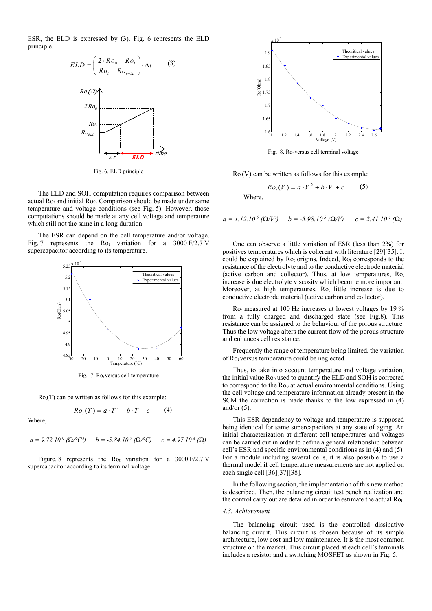ESR, the ELD is expressed by (3). Fig. 6 represents the ELD principle.



Fig. 6. ELD principle

The ELD and SOH computation requires comparison between actual  $Ro<sub>t</sub>$  and initial  $Ro<sub>0</sub>$ . Comparison should be made under same temperature and voltage conditions (see Fig. 5). However, those computations should be made at any cell voltage and temperature which still not the same in a long duration.

The ESR can depend on the cell temperature and/or voltage. Fig. 7 represents the Rot variation for a  $3000 \text{ F}/2.7 \text{ V}$ supercapacitor according to its temperature.



Fig. 7.  $Ro<sub>t</sub>$  versus cell temperature

 $Ro<sub>t</sub>(T)$  can be written as follows for this example:

$$
Rot(T) = a \cdot T^2 + b \cdot T + c \tag{4}
$$

Where,

 $a = 9.72.10^{-9}$  ( $\Omega$ /°C<sup>2</sup>)  $b = -5.84.10^{-7}$  ( $\Omega$ /°C)  $c = 4.97.10^{-4}$  ( $\Omega$ )

Figure. 8 represents the  $Ro<sub>t</sub>$  variation for a 3000 F/2.7 V supercapacitor according to its terminal voltage.



Fig. 8. Rot versus cell terminal voltage

 $Ro<sub>t</sub>(V)$  can be written as follows for this example:

$$
Rot(V) = a \cdot V^2 + b \cdot V + c \tag{5}
$$

Where,

 $a = 1.12.10^{-5}$  ( $\Omega/V^2$ )  $b = -5.98.10^{-5}$  ( $\Omega/V$ )  $c = 2.41.10^{-4}$  ( $\Omega$ )

 One can observe a little variation of ESR (less than 2%) for positives temperatures which is coherent with literature [29][35]. It could be explained by  $Ro<sub>t</sub>$  origins. Indeed,  $Ro<sub>t</sub>$  corresponds to the resistance of the electrolyte and to the conductive electrode material (active carbon and collector). Thus, at low temperatures,  $Ro<sub>t</sub>$ increase is due electrolyte viscosity which become more important. Moreover, at high temperatures, Rot little increase is due to conductive electrode material (active carbon and collector).

 $Ro<sub>t</sub>$  measured at 100 Hz increases at lowest voltages by 19 % from a fully charged and discharged state (see Fig.8). This resistance can be assigned to the behaviour of the porous structure. Thus the low voltage alters the current flow of the porous structure and enhances cell resistance.

 Frequently the range of temperature being limited, the variation of Rot versus temperature could be neglected.

Thus, to take into account temperature and voltage variation, the initial value Ro0 used to quantify the ELD and SOH is corrected to correspond to the Ro<sub>0</sub> at actual environmental conditions. Using the cell voltage and temperature information already present in the SCM the correction is made thanks to the low expressed in (4) and/or  $(5)$ .

This ESR dependency to voltage and temperature is supposed being identical for same supercapacitors at any state of aging. An initial characterization at different cell temperatures and voltages can be carried out in order to define a general relationship between cell's ESR and specific environmental conditions as in  $(\overline{4})$  and  $(5)$ . For a module including several cells, it is also possible to use a thermal model if cell temperature measurements are not applied on each single cell [36][37][38].

In the following section, the implementation of this new method is described. Then, the balancing circuit test bench realization and the control carry out are detailed in order to estimate the actual Rot.

#### *4.3. Achievement*

The balancing circuit used is the controlled dissipative balancing circuit. This circuit is chosen because of its simple architecture, low cost and low maintenance. It is the most common structure on the market. This circuit placed at each cell's terminals includes a resistor and a switching MOSFET as shown in Fig. 5.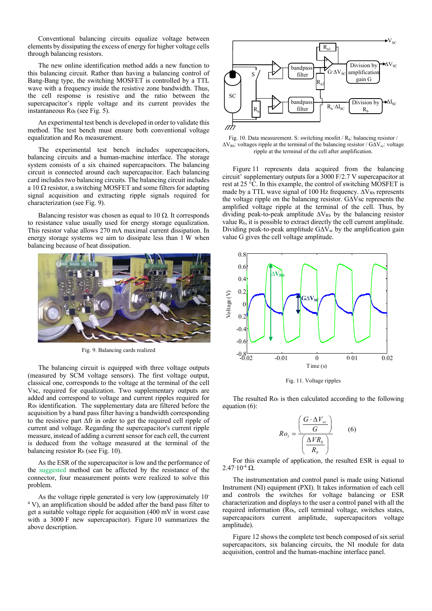Conventional balancing circuits equalize voltage between elements by dissipating the excess of energy for higher voltage cells through balancing resistors.

The new online identification method adds a new function to this balancing circuit. Rather than having a balancing control of Bang-Bang type, the switching MOSFET is controlled by a TTL wave with a frequency inside the resistive zone bandwidth. Thus, the cell response is resistive and the ratio between the supercapacitor's ripple voltage and its current provides the instantaneous Rot (see Fig. 5).

An experimental test bench is developed in order to validate this method. The test bench must ensure both conventional voltage equalization and Rot measurement.

The experimental test bench includes supercapacitors, balancing circuits and a human-machine interface. The storage system consists of a six chained supercapacitors. The balancing circuit is connected around each supercapacitor. Each balancing card includes two balancing circuits. The balancing circuit includes a 10  $\Omega$  resistor, a switching MOSFET and some filters for adapting signal acquisition and extracting ripple signals required for characterization (see Fig. 9).

Balancing resistor was chosen as equal to  $10 \Omega$ . It corresponds to resistance value usually used for energy storage equalization. This resistor value allows 270 mA maximal current dissipation. In energy storage systems we aim to dissipate less than 1 W when balancing because of heat dissipation.



Fig. 9. Balancing cards realized

The balancing circuit is equipped with three voltage outputs (measured by SCM voltage sensors). The first voltage output, classical one, corresponds to the voltage at the terminal of the cell Vsc, required for equalization. Two supplementary outputs are added and correspond to voltage and current ripples required for Rot identification. The supplementary data are filtered before the acquisition by a band pass filter having a bandwidth corresponding to the resistive part Δfr in order to get the required cell ripple of current and voltage. Regarding the supercapacitor's current ripple measure, instead of adding a current sensor for each cell, the current is deduced from the voltage measured at the terminal of the balancing resistor  $R_b$  (see Fig. 10).

As the ESR of the supercapacitor is low and the performance of the suggested method can be affected by the resistance of the connector, four measurement points were realized to solve this problem.

As the voltage ripple generated is very low (approximately 10- <sup>4</sup> V), an amplification should be added after the band pass filter to get a suitable voltage ripple for acquisition (400 mV in worst case with a 3000 F new supercapacitor). Figure 10 summarizes the above description.



Fig. 10. Data measurement. S: switching mosfet / R<sub>b</sub>: balancing resistor /  $\Delta V_{Rb}$ : voltages ripple at the terminal of the balancing resistor /  $G\Delta V_{sc}$ : voltage ripple at the terminal of the cell after amplification.

Figure 11 represents data acquired from the balancing circuit' supplementary outputs for a 3000 F/2.7 V supercapacitor at rest at 25 °C. In this example, the control of switching MOSFET is made by a TTL wave signal of 100 Hz frequency.  $\Delta V_{Rb}$  represents the voltage ripple on the balancing resistor. G∆Vsc represents the amplified voltage ripple at the terminal of the cell. Thus, by dividing peak-to-peak amplitude  $\Delta V_{Rb}$  by the balancing resistor value  $R_b$ , it is possible to extract directly the cell current amplitude. Dividing peak-to-peak amplitude G∆V<sub>sc</sub> by the amplification gain value G gives the cell voltage amplitude.



Fig. 11. Voltage ripples

The resulted  $Ro<sub>t</sub>$  is then calculated according to the following equation (6):

$$
Ro_t = \frac{\left(\frac{G \cdot \Delta V_{sc}}{G}\right)}{\left(\frac{\Delta V R_b}{R_b}\right)}\tag{6}
$$

For this example of application, the resulted ESR is equal to  $2.47 \cdot 10^{-4} \Omega$ .

The instrumentation and control panel is made using National Instrument (NI) equipment (PXI). It takes information of each cell and controls the switches for voltage balancing or ESR characterization and displays to the user a control panel with all the required information (Ro<sub>t</sub>, cell terminal voltage, switches states, supercapacitors current amplitude, supercapacitors voltage amplitude).

Figure 12 shows the complete test bench composed of six serial supercapacitors, six balancing circuits, the NI module for data acquisition, control and the human-machine interface panel.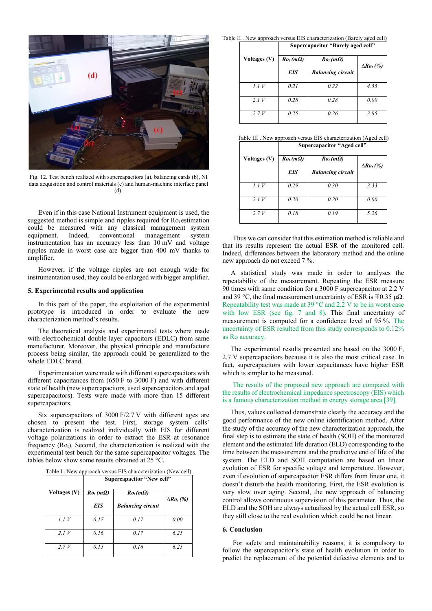

Fig. 12. Test bench realized with supercapacitors (a), balancing cards (b), NI data acquisition and control materials (c) and human-machine interface panel (d).

Even if in this case National Instrument equipment is used, the suggested method is simple and ripples required for Rot estimation could be measured with any classical management system equipment. Indeed, conventional management system instrumentation has an accuracy less than 10 mV and voltage ripples made in worst case are bigger than 400 mV thanks to amplifier.

However, if the voltage ripples are not enough wide for instrumentation used, they could be enlarged with bigger amplifier.

#### **5. Experimental results and application**

In this part of the paper, the exploitation of the experimental prototype is introduced in order to evaluate the new characterization method's results.

The theoretical analysis and experimental tests where made with electrochemical double layer capacitors (EDLC) from same manufacturer. Moreover, the physical principle and manufacture process being similar, the approach could be generalized to the whole EDLC brand.

Experimentation were made with different supercapacitors with different capacitances from (650 F to 3000 F) and with different state of health (new supercapacitors, used supercapacitors and aged supercapacitors). Tests were made with more than 15 different supercapacitors.

Six supercapacitors of 3000 F/2.7 V with different ages are chosen to present the test. First, storage system cells' characterization is realized individually with EIS for different voltage polarizations in order to extract the ESR at resonance frequency (Rot). Second, the characterization is realized with the experimental test bench for the same supercapacitor voltages. The tables below show some results obtained at 25 °C.

| Table I . New approach versus EIS characterization (New cell) |                                                                                                                                                                                                                                                                                                                                                                                                                                                            |  |
|---------------------------------------------------------------|------------------------------------------------------------------------------------------------------------------------------------------------------------------------------------------------------------------------------------------------------------------------------------------------------------------------------------------------------------------------------------------------------------------------------------------------------------|--|
|                                                               | $\bullet$ , $\prime$ , $\bullet$ , $\bullet$ , $\bullet$ , $\bullet$ , $\bullet$ , $\bullet$ , $\bullet$ , $\bullet$ , $\bullet$ , $\bullet$ , $\bullet$ , $\bullet$ , $\bullet$ , $\bullet$ , $\bullet$ , $\bullet$ , $\bullet$ , $\bullet$ , $\bullet$ , $\bullet$ , $\bullet$ , $\bullet$ , $\bullet$ , $\bullet$ , $\bullet$ , $\bullet$ , $\bullet$ , $\bullet$ , $\bullet$ , $\bullet$ , $\bullet$ , $\bullet$ , $\bullet$ , $\bullet$ , $\bullet$ , |  |

|                     | Supercapacitor "New cell" |                          |                   |  |
|---------------------|---------------------------|--------------------------|-------------------|--|
| <b>Voltages (V)</b> | $Rot$ (m $\Omega$ )       | $Ro_t(m\Omega)$          | $\Delta Ro_t$ (%) |  |
|                     | <b>EIS</b>                | <b>Balancing circuit</b> |                   |  |
| 1.1V                | 0.17                      | 0.17                     | 0.00              |  |
| 2.1V                | 0.16                      | 0.17                     | 6.25              |  |
| 2.7V                | 0.15                      | 0.16                     | 6.25              |  |

Table II . New approach versus EIS characterization (Barely aged cell) **Supercapacitor "Barely aged cell"** 

|                     | $\mathbf{S}$ application buildly after that |                          |                   |
|---------------------|---------------------------------------------|--------------------------|-------------------|
| <b>Voltages (V)</b> | $Rot$ (m $\Omega$ )                         | $Ro_t$ (m $\Omega$ )     | $\Delta Ro_t$ (%) |
|                     | <b>EIS</b>                                  | <b>Balancing circuit</b> |                   |
| 1.1V                | 0.21                                        | 0.22                     | 4.55              |
| 2.1V                | 0.28                                        | 0.28                     | 0.00              |
| 2.7V                | 0.25                                        | 0.26                     | 3.85              |

Table III . New approach versus EIS characterization (Aged cell)

|              | Supercapacitor "Aged cell" |                          |                   |  |
|--------------|----------------------------|--------------------------|-------------------|--|
| Voltages (V) | $Rot$ (m $\Omega$ )        | $Ro_t$ (m $\Omega$ )     | $\Delta Ro_t$ (%) |  |
|              | EIS                        | <b>Balancing circuit</b> |                   |  |
| 1.1V         | 0.29                       | 0.30                     | 3.33              |  |
| 2.1V         | 0.20                       | 0.20                     | 0.00              |  |
| 2.7V         | 0.18                       | 0.19                     | 5.26              |  |

Thus we can consider that this estimation method is reliable and that its results represent the actual ESR of the monitored cell. Indeed, differences between the laboratory method and the online new approach do not exceed 7 %.

A statistical study was made in order to analyses the repeatability of the measurement. Repeating the ESR measure 90 times with same condition for a 3000 F supercapacitor at 2.2 V and 39 °C, the final measurement uncertainty of ESR is  $\pm 0.35 \mu\Omega$ . Repeatability test was made at 39 °C and 2.2 V to be in worst case with low ESR (see fig. 7 and 8). This final uncertainty of measurement is computed for a confidence level of 95 %. The uncertainty of ESR resulted from this study corresponds to 0.12% as Ro accuracy.

The experimental results presented are based on the 3000 F, 2.7 V supercapacitors because it is also the most critical case. In fact, supercapacitors with lower capacitances have higher ESR which is simpler to be measured.

The results of the proposed new approach are compared with the results of electrochemical impedance spectroscopy (EIS) which is a famous characterization method in energy storage area [39].

Thus, values collected demonstrate clearly the accuracy and the good performance of the new online identification method. After the study of the accuracy of the new characterization approach, the final step is to estimate the state of health (SOH) of the monitored element and the estimated life duration (ELD) corresponding to the time between the measurement and the predictive end of life of the system. The ELD and SOH computation are based on linear evolution of ESR for specific voltage and temperature. However, even if evolution of supercapacitor ESR differs from linear one, it doesn't disturb the health monitoring. First, the ESR evolution is very slow over aging. Second, the new approach of balancing control allows continuous supervision of this parameter. Thus, the ELD and the SOH are always actualized by the actual cell ESR, so they still close to the real evolution which could be not linear.

#### **6. Conclusion**

For safety and maintainability reasons, it is compulsory to follow the supercapacitor's state of health evolution in order to predict the replacement of the potential defective elements and to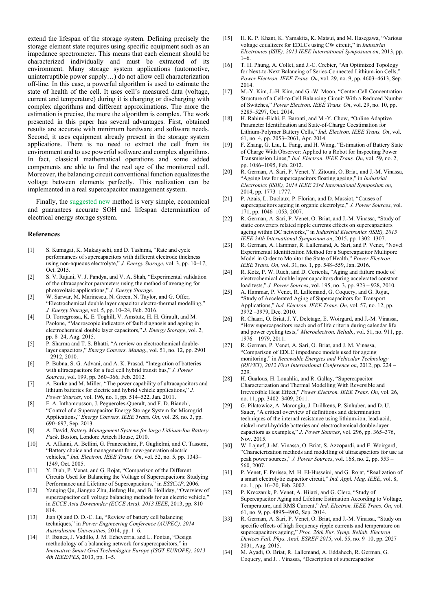extend the lifespan of the storage system. Defining precisely the storage element state requires using specific equipment such as an impedance spectrometer. This means that each element should be characterized individually and must be extracted of its environment. Many storage system applications (automotive, uninterruptible power supply…) do not allow cell characterization off-line. In this case, a powerful algorithm is used to estimate the state of health of the cell. It uses cell's measured data (voltage, current and temperature) during it is charging or discharging with complex algorithms and different approximations. The more the estimation is precise, the more the algorithm is complex. The work presented in this paper has several advantages. First, obtained results are accurate with minimum hardware and software needs. Second, it uses equipment already present in the storage system applications. There is no need to extract the cell from its environment and to use powerful software and complex algorithms. In fact, classical mathematical operations and some added components are able to find the real age of the monitored cell. Moreover, the balancing circuit conventional function equalizes the voltage between elements perfectly. This realization can be implemented in a real supercapacitor management system.

Finally, the suggested new method is very simple, economical and guarantees accurate SOH and lifespan determination of electrical energy storage system.

#### **References**

- [1] S. Kumagai, K. Mukaiyachi, and D. Tashima, "Rate and cycle performances of supercapacitors with different electrode thickness using non-aqueous electrolyte," *J. Energy Storage*, vol. 3, pp. 10–17, Oct. 2015.
- [2] S. V. Rajani, V. J. Pandya, and V. A. Shah, "Experimental validation of the ultracapacitor parameters using the method of averaging for photovoltaic applications," *J. Energy Storage*.
- [3] W. Sarwar, M. Marinescu, N. Green, N. Taylor, and G. Offer, "Electrochemical double layer capacitor electro-thermal modelling," *J. Energy Storage*, vol. 5, pp. 10–24, Feb. 2016.
- [4] D. Torregrossa, K. E. Toghill, V. Amstutz, H. H. Girault, and M. Paolone, "Macroscopic indicators of fault diagnosis and ageing in electrochemical double layer capacitors," *J. Energy Storage*, vol. 2, pp. 8–24, Aug. 2015.
- [5] P. Sharma and T. S. Bhatti, "A review on electrochemical doublelayer capacitors," *Energy Convers. Manag.*, vol. 51, no. 12, pp. 2901 – 2912, 2010.
- [6] P. Bubna, S. G. Advani, and A. K. Prasad, "Integration of batteries with ultracapacitors for a fuel cell hybrid transit bus," *J. Power Sources*, vol. 199, pp. 360–366, Feb. 2012.
- [7] A. Burke and M. Miller, "The power capability of ultracapacitors and lithium batteries for electric and hybrid vehicle applications," *J. Power Sources*, vol. 196, no. 1, pp. 514–522, Jan. 2011.
- [8] F. A. Inthamoussou, J. Pegueroles-Oueralt, and F. D. Bianchi, "Control of a Supercapacitor Energy Storage System for Microgrid Applications," *Energy Convers. IEEE Trans. On*, vol. 28, no. 3, pp. 690–697, Sep. 2013.
- [9] A. David, *Battery Management Systems for large Lithium-Ion Battery Pack*. Boston, London: Artech House, 2010.
- [10] A. Affanni, A. Bellini, G. Franceschini, P. Guglielmi, and C. Tassoni, "Battery choice and management for new-generation electric vehicles," *Ind. Electron. IEEE Trans. On*, vol. 52, no. 5, pp. 1343– 1349, Oct. 2005.
- [11] Y. Diab, P. Venet, and G. Rojat, "Comparison of the Different Circuits Used for Balancing the Voltage of Supercapacitors: Studying Performance and Lifetime of Supercapacitors," in *ESSCAP*, 2006.
- [12] Yanqing Qu, Jianguo Zhu, Jiefeng Hu, and B. Holliday, "Overview of supercapacitor cell voltage balancing methods for an electric vehicle, in *ECCE Asia Downunder (ECCE Asia), 2013 IEEE*, 2013, pp. 810– 814.
- [13] Jian Qi and D. D.-C. Lu, "Review of battery cell balancing techniques," in *Power Engineering Conference (AUPEC), 2014 Australasian Universities*, 2014, pp. 1–6.
- [14] F. Ibanez, J. Vadillo, J. M. Echeverria, and L. Fontan, "Design methodology of a balancing network for supercapacitors," in *Innovative Smart Grid Technologies Europe (ISGT EUROPE), 2013 4th IEEE/PES*, 2013, pp. 1–5.
- H. K. P. Khant, K. Yamakita, K. Matsui, and M. Hasegawa, "Various voltage equalizers for EDLCs using CW circuit," in *Industrial Electronics (ISIE), 2013 IEEE International Symposium on*, 2013, pp. 1–6.
- [16] T. H. Phung, A. Collet, and J.-C. Crebier, "An Optimized Topology for Next-to-Next Balancing of Series-Connected Lithium-ion Cells," *Power Electron. IEEE Trans. On*, vol. 29, no. 9, pp. 4603–4613, Sep. 2014.
- [17] M.-Y. Kim, J.-H. Kim, and G.-W. Moon, "Center-Cell Concentration Structure of a Cell-to-Cell Balancing Circuit With a Reduced Number of Switches," *Power Electron. IEEE Trans. On*, vol. 29, no. 10, pp. 5285–5297, Oct. 2014.
- [18] H. Rahimi-Eichi, F. Baronti, and M.-Y. Chow, "Online Adaptive Parameter Identification and State-of-Charge Coestimation for Lithium-Polymer Battery Cells," *Ind. Electron. IEEE Trans. On*, vol. 61, no. 4, pp. 2053–2061, Apr. 2014.
- [19] F. Zhang, G. Liu, L. Fang, and H. Wang, "Estimation of Battery State of Charge With Observer: Applied to a Robot for Inspecting Power Transmission Lines," *Ind. Electron. IEEE Trans. On*, vol. 59, no. 2, pp. 1086–1095, Feb. 2012.
- [20] R. German, A. Sari, P. Venet, Y. Zitouni, O. Briat, and J.-M. Vinassa, "Ageing law for supercapacitors floating ageing," in *Industrial Electronics (ISIE), 2014 IEEE 23rd International Symposium on*, 2014, pp. 1773–1777.
- [21] P. Azais, L. Duclaux, P. Florian, and D. Massiot, "Causes of supercapacitors ageing in organic electrolyte," *J. Power Sources*, vol. 171, pp. 1046–1053, 2007.
- [22] R. German, A. Sari, P. Venet, O. Briat, and J.-M. Vinassa, "Study of static converters related ripple currents effects on supercapacitors ageing within DC networks," in *Industrial Electronics (ISIE), 2015 IEEE 24th International Symposium on*, 2015, pp. 1302–1307.
- [23] R. German, A. Hammar, R. Lallemand, A. Sari, and P. Venet, "Novel Experimental Identification Method for a Supercapacitor Multipore Model in Order to Monitor the State of Health," *Power Electron. IEEE Trans. On*, vol. 31, no. 1, pp. 548–559, Jan. 2016.
- [24] R. Kotz, P. W. Ruch, and D. Cericola, "Aging and failure mode of electrochemical double layer capacitors during accelerated constant load tests," *J. Power Sources*, vol. 195, no. 3, pp. 923 – 928, 2010.
- [25] A. Hammar, P. Venet, R. Lallemand, G. Coquery, and G. Rojat, "Study of Accelerated Aging of Supercapacitors for Transport Applications," *Ind. Electron. IEEE Trans. On*, vol. 57, no. 12, pp. 3972 –3979, Dec. 2010.
- [26] R. Chaari, O. Briat, J. Y. Deletage, E. Woirgard, and J.-M. Vinassa, "How supercapacitors reach end of life criteria during calendar life and power cycling tests," *Microelectron. Reliab.*, vol. 51, no. 911, pp. 1976 – 1979, 2011.
- [27] R. German, P. Venet, A. Sari, O. Briat, and J. M. Vinassa, "Comparison of EDLC impedance models used for ageing monitoring," in *Renewable Energies and Vehicular Technology (REVET), 2012 First International Conference on*, 2012, pp. 224 –  $229$
- [28] H. Gualous, H. Louahlia, and R. Gallay, "Supercapacitor Characterization and Thermal Modelling With Reversible and Irreversible Heat Effect," *Power Electron. IEEE Trans. On*, vol. 26, no. 11, pp. 3402–3409, 2011.
- [29] G. Piłatowicz, A. Marongiu, J. Drillkens, P. Sinhuber, and D. U. Sauer, "A critical overview of definitions and determination techniques of the internal resistance using lithium-ion, lead-acid, nickel metal-hydride batteries and electrochemical double-layer capacitors as examples," *J. Power Sources*, vol. 296, pp. 365–376, Nov. 2015.
- [30] W. Lajnef, J.-M. Vinassa, O. Briat, S. Azzopardi, and E. Woirgard, "Characterization methods and modelling of ultracapacitors for use as peak power sources," *J. Power Sources*, vol. 168, no. 2, pp. 553 – 560, 2007.
- [31] P. Venet, F. Perisse, M. H. El-Husseini, and G. Rojat, "Realization of a smart electrolytic capacitor circuit," *Ind. Appl. Mag. IEEE*, vol. 8, no. 1, pp. 16–20, Feb. 2002.
- [32] P. Kreczanik, P. Venet, A. Hijazi, and G. Clerc, "Study of Supercapacitor Aging and Lifetime Estimation According to Voltage, Temperature, and RMS Current," *Ind. Electron. IEEE Trans. On*, vol. 61, no. 9, pp. 4895–4902, Sep. 2014.
- [33] R. German, A. Sari, P. Venet, O. Briat, and J.-M. Vinassa, "Study on specific effects of high frequency ripple currents and temperature on supercapacitors ageing," *Proc. 26th Eur. Symp. Reliab. Electron Devices Fail. Phys. Anal. ESREF 2015*, vol. 55, no. 9–10, pp. 2027– 2031, Aug. 2015.
- [34] M. Ayadi, O. Briat, R. Lallemand, A. Eddahech, R. German, G. Coquery, and J. . Vinassa, "Description of supercapacitor